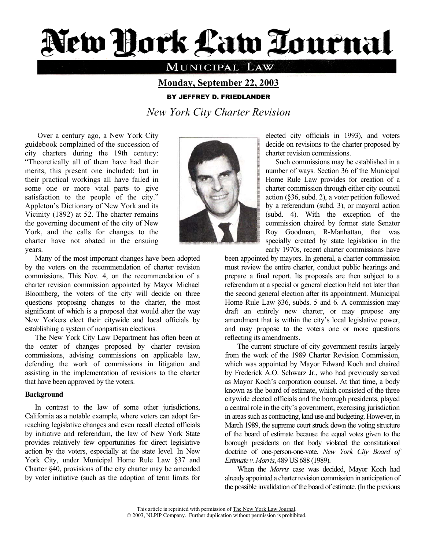## New York Law Tournal

MUNICIPAL LAW

**Monday, September 22, 2003**

BY JEFFREY D. FRIEDLANDER

*New York City Charter Revision* 

Over a century ago, a New York City guidebook complained of the succession of city charters during the 19th century: "Theoretically all of them have had their merits, this present one included; but in their practical workings all have failed in some one or more vital parts to give satisfaction to the people of the city." Appleton's Dictionary of New York and its Vicinity (1892) at 52. The charter remains the governing document of the city of New York, and the calls for changes to the charter have not abated in the ensuing years.



Many of the most important changes have been adopted by the voters on the recommendation of charter revision commissions. This Nov. 4, on the recommendation of a charter revision commission appointed by Mayor Michael Bloomberg, the voters of the city will decide on three questions proposing changes to the charter, the most significant of which is a proposal that would alter the way New Yorkers elect their citywide and local officials by establishing a system of nonpartisan elections.

The New York City Law Department has often been at the center of changes proposed by charter revision commissions, advising commissions on applicable law, defending the work of commissions in litigation and assisting in the implementation of revisions to the charter that have been approved by the voters.

## **Background**

In contrast to the law of some other jurisdictions, California as a notable example, where voters can adopt farreaching legislative changes and even recall elected officials by initiative and referendum, the law of New York State provides relatively few opportunities for direct legislative action by the voters, especially at the state level. In New York City, under Municipal Home Rule Law §37 and Charter §40, provisions of the city charter may be amended by voter initiative (such as the adoption of term limits for

elected city officials in 1993), and voters decide on revisions to the charter proposed by charter revision commissions.

Such commissions may be established in a number of ways. Section 36 of the Municipal Home Rule Law provides for creation of a charter commission through either city council action (§36, subd. 2), a voter petition followed by a referendum (subd. 3), or mayoral action (subd. 4). With the exception of the commission chaired by former state Senator Roy Goodman, R-Manhattan, that was specially created by state legislation in the early 1970s, recent charter commissions have

been appointed by mayors. In general, a charter commission must review the entire charter, conduct public hearings and prepare a final report. Its proposals are then subject to a referendum at a special or general election held not later than the second general election after its appointment. Municipal Home Rule Law §36, subds. 5 and 6. A commission may draft an entirely new charter, or may propose any amendment that is within the city's local legislative power, and may propose to the voters one or more questions reflecting its amendments.

The current structure of city government results largely from the work of the 1989 Charter Revision Commission, which was appointed by Mayor Edward Koch and chaired by Frederick A.O. Schwarz Jr., who had previously served as Mayor Koch's corporation counsel. At that time, a body known as the board of estimate, which consisted of the three citywide elected officials and the borough presidents, played a central role in the city's government, exercising jurisdiction in areas such as contracting, land use and budgeting. However, in March 1989, the supreme court struck down the voting structure of the board of estimate because the equal votes given to the borough presidents on that body violated the constitutional doctrine of one-person-one-vote. *New York City Board of Estimate v. Morris*, 489 US 688 (1989).

When the *Morris* case was decided, Mayor Koch had already appointed a charter revision commission in anticipation of the possible invalidation of the board of estimate. (In the previous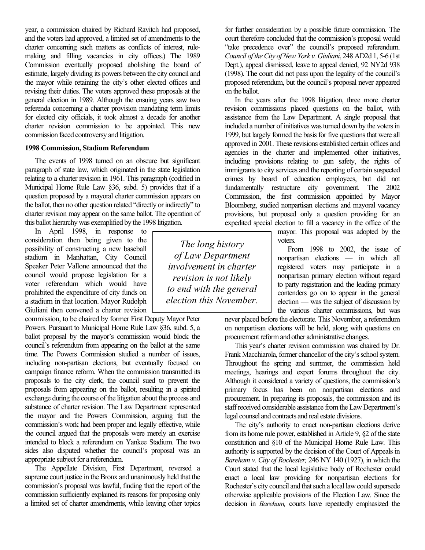year, a commission chaired by Richard Ravitch had proposed, and the voters had approved, a limited set of amendments to the charter concerning such matters as conflicts of interest, rulemaking and filling vacancies in city offices.) The 1989 Commission eventually proposed abolishing the board of estimate, largely dividing its powers between the city council and the mayor while retaining the city's other elected offices and revising their duties. The voters approved these proposals at the general election in 1989. Although the ensuing years saw two referenda concerning a charter provision mandating term limits for elected city officials, it took almost a decade for another charter revision commission to be appointed. This new commission faced controversy and litigation.

## **1998 Commission, Stadium Referendum**

The events of 1998 turned on an obscure but significant paragraph of state law, which originated in the state legislation relating to a charter revision in 1961. This paragraph (codified in Municipal Home Rule Law §36, subd. 5) provides that if a question proposed by a mayoral charter commission appears on the ballot, then no other question related "directly or indirectly" to charter revision may appear on the same ballot. The operation of this ballot hierarchy was exemplified by the 1998 litigation.

In April 1998, in response to consideration then being given to the possibility of constructing a new baseball stadium in Manhattan, City Council Speaker Peter Vallone announced that the council would propose legislation for a voter referendum which would have prohibited the expenditure of city funds on a stadium in that location. Mayor Rudolph Giuliani then convened a charter revision

commission, to be chaired by former First Deputy Mayor Peter Powers. Pursuant to Municipal Home Rule Law §36, subd. 5, a ballot proposal by the mayor's commission would block the council's referendum from appearing on the ballot at the same time. The Powers Commission studied a number of issues, including non-partisan elections, but eventually focused on campaign finance reform. When the commission transmitted its proposals to the city clerk, the council sued to prevent the proposals from appearing on the ballot, resulting in a spirited exchange during the course of the litigation about the process and substance of charter revision. The Law Department represented the mayor and the Powers Commission, arguing that the commission's work had been proper and legally effective, while the council argued that the proposals were merely an exercise intended to block a referendum on Yankee Stadium. The two sides also disputed whether the council's proposal was an appropriate subject for a referendum.

The Appellate Division, First Department, reversed a supreme court justice in the Bronx and unanimously held that the commission's proposal was lawful, finding that the report of the commission sufficiently explained its reasons for proposing only a limited set of charter amendments, while leaving other topics

*The long history of Law Department involvement in charter revision is not likely to end with the general election this November.*

for further consideration by a possible future commission. The court therefore concluded that the commission's proposal would "take precedence over" the council's proposed referendum. *Council of the City of New York v. Giuliani*, 248 AD2d 1, 5-6 (1st Dept.), appeal dismissed, leave to appeal denied, 92 NY2d 938 (1998). The court did not pass upon the legality of the council's proposed referendum, but the council's proposal never appeared on the ballot.

In the years after the 1998 litigation, three more charter revision commissions placed questions on the ballot, with assistance from the Law Department. A single proposal that included a number of initiatives was turned down by the voters in 1999, but largely formed the basis for five questions that were all approved in 2001. These revisions established certain offices and agencies in the charter and implemented other initiatives, including provisions relating to gun safety, the rights of immigrants to city services and the reporting of certain suspected crimes by board of education employees, but did not fundamentally restructure city government. The 2002 Commission, the first commission appointed by Mayor Bloomberg, studied nonpartisan elections and mayoral vacancy provisions, but proposed only a question providing for an expedited special election to fill a vacancy in the office of the

mayor. This proposal was adopted by the voters.

From 1998 to 2002, the issue of nonpartisan elections — in which all registered voters may participate in a nonpartisan primary election without regard to party registration and the leading primary contenders go on to appear in the general election — was the subject of discussion by the various charter commissions, but was

never placed before the electorate. This November, a referendum on nonpartisan elections will be held, along with questions on procurement reform and other administrative changes.

This year's charter revision commission was chaired by Dr. Frank Macchiarola, former chancellor of the city's school system. Throughout the spring and summer, the commission held meetings, hearings and expert forums throughout the city. Although it considered a variety of questions, the commission's primary focus has been on nonpartisan elections and procurement. In preparing its proposals, the commission and its staff received considerable assistance from the Law Department's legal counsel and contracts and real estate divisions.

The city's authority to enact non-partisan elections derive from its home rule power, established in Article 9, §2 of the state constitution and §10 of the Municipal Home Rule Law. This authority is supported by the decision of the Court of Appeals in *Bareham v. City of Rochester,* 246 NY 140 (1927), in which the Court stated that the local legislative body of Rochester could enact a local law providing for nonpartisan elections for Rochester's city council and that such a local law could supersede otherwise applicable provisions of the Election Law. Since the decision in *Bareham,* courts have repeatedly emphasized the